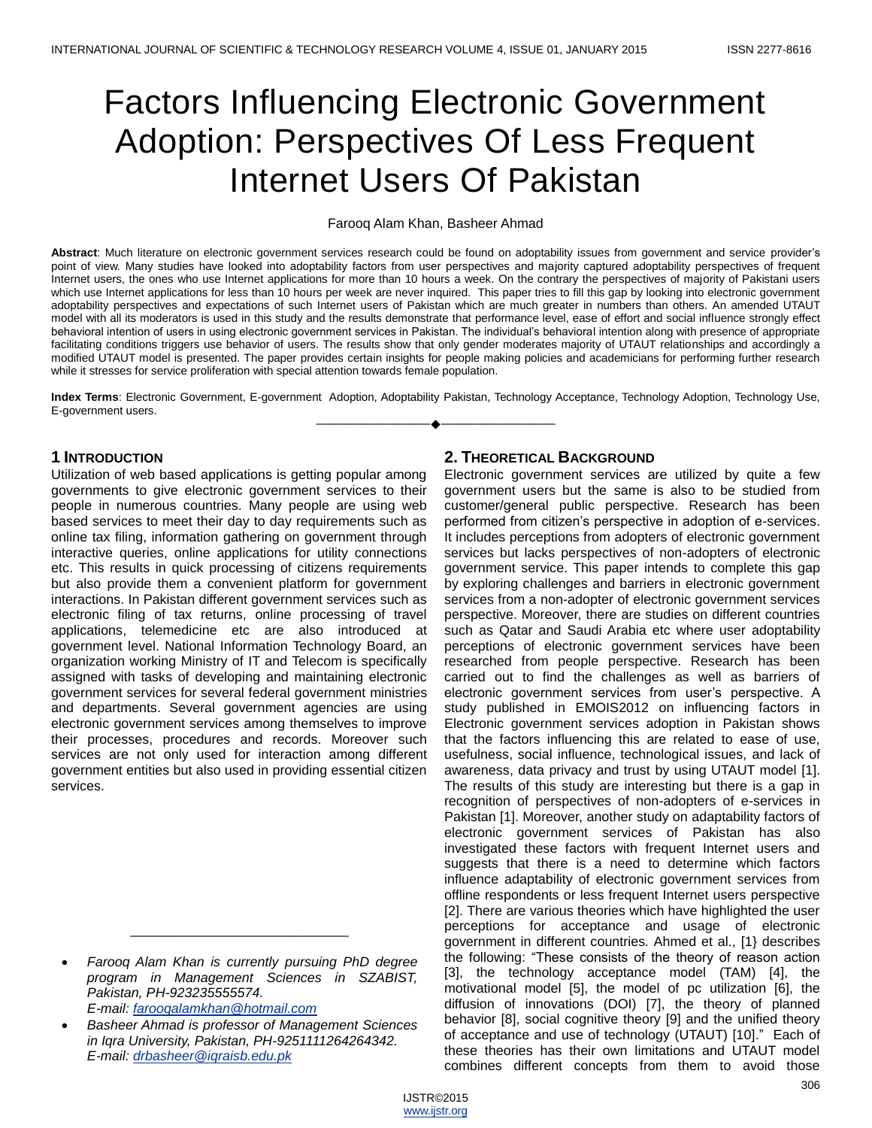# Factors Influencing Electronic Government Adoption: Perspectives Of Less Frequent Internet Users Of Pakistan

## Farooq Alam Khan, Basheer Ahmad

**Abstract**: Much literature on electronic government services research could be found on adoptability issues from government and service provider's point of view. Many studies have looked into adoptability factors from user perspectives and majority captured adoptability perspectives of frequent Internet users, the ones who use Internet applications for more than 10 hours a week. On the contrary the perspectives of majority of Pakistani users which use Internet applications for less than 10 hours per week are never inquired. This paper tries to fill this gap by looking into electronic government adoptability perspectives and expectations of such Internet users of Pakistan which are much greater in numbers than others. An amended UTAUT model with all its moderators is used in this study and the results demonstrate that performance level, ease of effort and social influence strongly effect behavioral intention of users in using electronic government services in Pakistan. The individual's behavioral intention along with presence of appropriate facilitating conditions triggers use behavior of users. The results show that only gender moderates majority of UTAUT relationships and accordingly a modified UTAUT model is presented. The paper provides certain insights for people making policies and academicians for performing further research while it stresses for service proliferation with special attention towards female population.

**Index Terms**: Electronic Government, E-government Adoption, Adoptability Pakistan, Technology Acceptance, Technology Adoption, Technology Use, E-government users. ————————————————————

## **1 INTRODUCTION**

Utilization of web based applications is getting popular among governments to give electronic government services to their people in numerous countries. Many people are using web based services to meet their day to day requirements such as online tax filing, information gathering on government through interactive queries, online applications for utility connections etc. This results in quick processing of citizens requirements but also provide them a convenient platform for government interactions. In Pakistan different government services such as electronic filing of tax returns, online processing of travel applications, telemedicine etc are also introduced at government level. National Information Technology Board, an organization working Ministry of IT and Telecom is specifically assigned with tasks of developing and maintaining electronic government services for several federal government ministries and departments. Several government agencies are using electronic government services among themselves to improve their processes, procedures and records. Moreover such services are not only used for interaction among different government entities but also used in providing essential citizen services.

 *Farooq Alam Khan is currently pursuing PhD degree program in Management Sciences in SZABIST, Pakistan, PH-923235555574. E-mail: [farooqalamkhan@hotmail.com](mailto:farooqalamkhan@hotmail.com)*

\_\_\_\_\_\_\_\_\_\_\_\_\_\_\_\_\_\_\_\_\_\_\_\_\_\_\_\_\_

 *Basheer Ahmad is professor of Management Sciences in Iqra University, Pakistan, PH-9251111264264342. E-mail: [drbasheer@iqraisb.edu.pk](mailto:drbasheer@iqraisb.edu.pk)*

## **2. THEORETICAL BACKGROUND**

Electronic government services are utilized by quite a few government users but the same is also to be studied from customer/general public perspective. Research has been performed from citizen's perspective in adoption of e-services. It includes perceptions from adopters of electronic government services but lacks perspectives of non-adopters of electronic government service. This paper intends to complete this gap by exploring challenges and barriers in electronic government services from a non-adopter of electronic government services perspective. Moreover, there are studies on different countries such as Qatar and Saudi Arabia etc where user adoptability perceptions of electronic government services have been researched from people perspective. Research has been carried out to find the challenges as well as barriers of electronic government services from user's perspective. A study published in EMOIS2012 on influencing factors in Electronic government services adoption in Pakistan shows that the factors influencing this are related to ease of use, usefulness, social influence, technological issues, and lack of awareness, data privacy and trust by using UTAUT model [1]. The results of this study are interesting but there is a gap in recognition of perspectives of non-adopters of e-services in Pakistan [1]. Moreover, another study on adaptability factors of electronic government services of Pakistan has also investigated these factors with frequent Internet users and suggests that there is a need to determine which factors influence adaptability of electronic government services from offline respondents or less frequent Internet users perspective [2]. There are various theories which have highlighted the user perceptions for acceptance and usage of electronic government in different countries*.* Ahmed et al., [1} describes the following: "These consists of the theory of reason action [3], the technology acceptance model (TAM) [4], the motivational model [5], the model of pc utilization [6], the diffusion of innovations (DOI) [7], the theory of planned behavior [8], social cognitive theory [9] and the unified theory of acceptance and use of technology (UTAUT) [10]." Each of these theories has their own limitations and UTAUT model combines different concepts from them to avoid those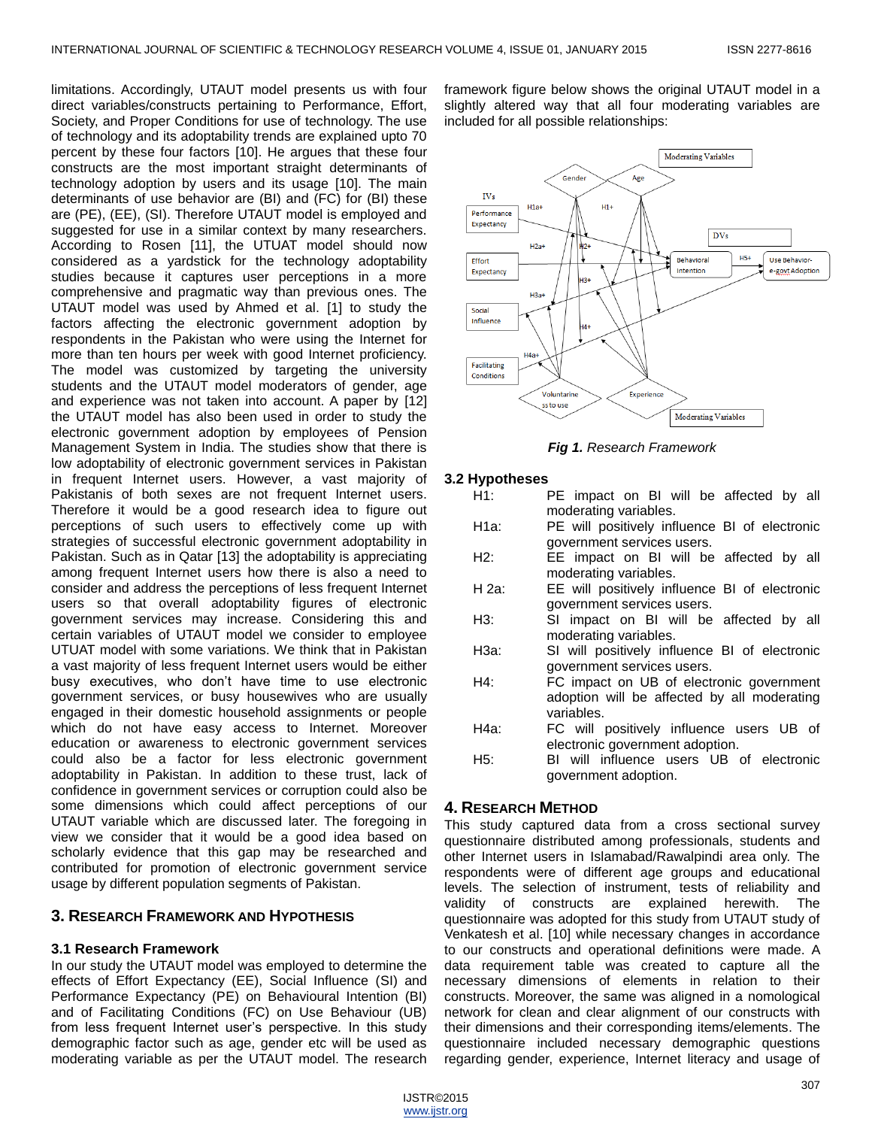limitations. Accordingly, UTAUT model presents us with four direct variables/constructs pertaining to Performance, Effort, Society, and Proper Conditions for use of technology. The use of technology and its adoptability trends are explained upto 70 percent by these four factors [10]. He argues that these four constructs are the most important straight determinants of technology adoption by users and its usage [10]. The main determinants of use behavior are (BI) and (FC) for (BI) these are (PE), (EE), (SI). Therefore UTAUT model is employed and suggested for use in a similar context by many researchers. According to Rosen [11], the UTUAT model should now considered as a yardstick for the technology adoptability studies because it captures user perceptions in a more comprehensive and pragmatic way than previous ones. The UTAUT model was used by Ahmed et al. [1] to study the factors affecting the electronic government adoption by respondents in the Pakistan who were using the Internet for more than ten hours per week with good Internet proficiency. The model was customized by targeting the university students and the UTAUT model moderators of gender, age and experience was not taken into account. A paper by [12] the UTAUT model has also been used in order to study the electronic government adoption by employees of Pension Management System in India. The studies show that there is low adoptability of electronic government services in Pakistan in frequent Internet users. However, a vast majority of Pakistanis of both sexes are not frequent Internet users. Therefore it would be a good research idea to figure out perceptions of such users to effectively come up with strategies of successful electronic government adoptability in Pakistan. Such as in Qatar [13] the adoptability is appreciating among frequent Internet users how there is also a need to consider and address the perceptions of less frequent Internet users so that overall adoptability figures of electronic government services may increase. Considering this and certain variables of UTAUT model we consider to employee UTUAT model with some variations. We think that in Pakistan a vast majority of less frequent Internet users would be either busy executives, who don't have time to use electronic government services, or busy housewives who are usually engaged in their domestic household assignments or people which do not have easy access to Internet. Moreover education or awareness to electronic government services could also be a factor for less electronic government adoptability in Pakistan. In addition to these trust, lack of confidence in government services or corruption could also be some dimensions which could affect perceptions of our UTAUT variable which are discussed later. The foregoing in view we consider that it would be a good idea based on scholarly evidence that this gap may be researched and contributed for promotion of electronic government service usage by different population segments of Pakistan.

## **3. RESEARCH FRAMEWORK AND HYPOTHESIS**

## **3.1 Research Framework**

In our study the UTAUT model was employed to determine the effects of Effort Expectancy (EE), Social Influence (SI) and Performance Expectancy (PE) on Behavioural Intention (BI) and of Facilitating Conditions (FC) on Use Behaviour (UB) from less frequent Internet user's perspective. In this study demographic factor such as age, gender etc will be used as moderating variable as per the UTAUT model. The research

framework figure below shows the original UTAUT model in a slightly altered way that all four moderating variables are included for all possible relationships:



*Fig 1. Research Framework*

## **3.2 Hypotheses**

| H1:   | PE impact on BI will be affected by all       |
|-------|-----------------------------------------------|
|       | moderating variables.                         |
| H1a:  | PE will positively influence BI of electronic |
|       | government services users.                    |
| H2:   | EE impact on BI will be affected by all       |
|       | moderating variables.                         |
| H 2a: | EE will positively influence BI of electronic |
|       | government services users.                    |
| H3:   | SI impact on BI will be affected by all       |
|       | moderating variables.                         |
| Н3а:  | SI will positively influence BI of electronic |
|       | government services users.                    |
| H4:   | FC impact on UB of electronic government      |
|       | adoption will be affected by all moderating   |
|       | variables.                                    |
| Н4а:  | FC will positively influence users UB of      |
|       | electronic government adoption.               |
|       |                                               |
| H5:   | BI will influence users UB of electronic      |
|       | government adoption.                          |
|       |                                               |
|       | .                                             |

## **4. RESEARCH METHOD**

This study captured data from a cross sectional survey questionnaire distributed among professionals, students and other Internet users in Islamabad/Rawalpindi area only. The respondents were of different age groups and educational levels. The selection of instrument, tests of reliability and validity of constructs are explained herewith. The questionnaire was adopted for this study from UTAUT study of Venkatesh et al. [10] while necessary changes in accordance to our constructs and operational definitions were made. A data requirement table was created to capture all the necessary dimensions of elements in relation to their constructs. Moreover, the same was aligned in a nomological network for clean and clear alignment of our constructs with their dimensions and their corresponding items/elements. The questionnaire included necessary demographic questions regarding gender, experience, Internet literacy and usage of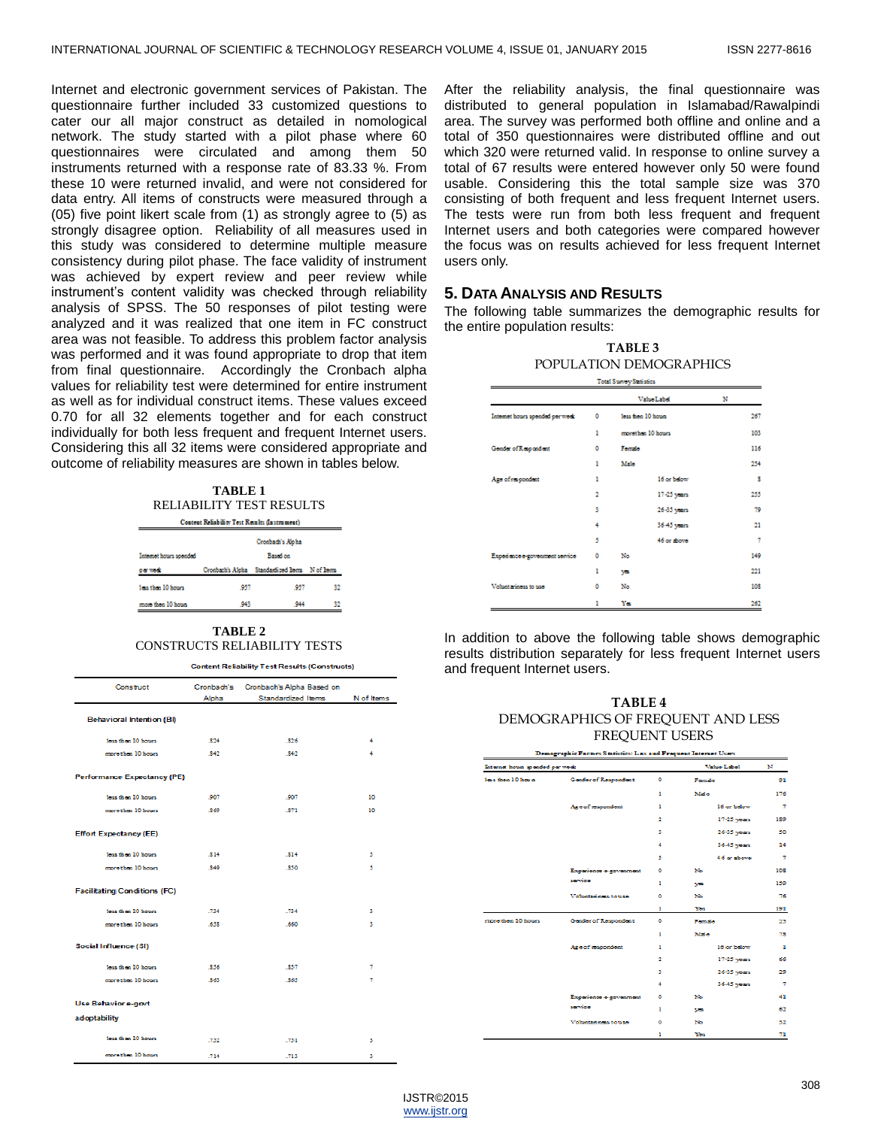Internet and electronic government services of Pakistan. The questionnaire further included 33 customized questions to cater our all major construct as detailed in nomological network. The study started with a pilot phase where 60 questionnaires were circulated and among them 50 instruments returned with a response rate of 83.33 %. From these 10 were returned invalid, and were not considered for data entry. All items of constructs were measured through a (05) five point likert scale from (1) as strongly agree to (5) as strongly disagree option. Reliability of all measures used in this study was considered to determine multiple measure consistency during pilot phase. The face validity of instrument was achieved by expert review and peer review while instrument's content validity was checked through reliability analysis of SPSS. The 50 responses of pilot testing were analyzed and it was realized that one item in FC construct area was not feasible. To address this problem factor analysis was performed and it was found appropriate to drop that item from final questionnaire. Accordingly the Cronbach alpha values for reliability test were determined for entire instrument as well as for individual construct items. These values exceed 0.70 for all 32 elements together and for each construct individually for both less frequent and frequent Internet users. Considering this all 32 items were considered appropriate and outcome of reliability measures are shown in tables below.

| TABLE 1                         |
|---------------------------------|
| <b>RELIABILITY TEST RESULTS</b> |

| Content Reliability Test Results (Instrument) |      |                                              |    |  |  |  |  |
|-----------------------------------------------|------|----------------------------------------------|----|--|--|--|--|
|                                               |      | Crosbach's Alpha                             |    |  |  |  |  |
| Internet hours spended<br>Baud on             |      |                                              |    |  |  |  |  |
| oa wak                                        |      | Crosbach's Aleha Standardized hems N of hems |    |  |  |  |  |
| <b>Jose than 10 hours</b>                     | .957 | .957                                         | 32 |  |  |  |  |
| more then 10 hours                            | .943 | 944                                          | 32 |  |  |  |  |

#### **TABLE 2** CONSTRUCTS RELIABILITY TESTS

**Content Reliability Test Results (Constructs)** 

| Construct                           | Cronbach's<br>Alpha | Cronbach's Alpha Based on<br>Standardized Items | N of Items |
|-------------------------------------|---------------------|-------------------------------------------------|------------|
| <b>Behavioral Intention (BI)</b>    |                     |                                                 |            |
| less than 10 hours.                 | .824                | .826                                            | 4          |
| more than 10 hours.                 | .842                | .842                                            | 4          |
| <b>Performance Expectancy (PE)</b>  |                     |                                                 |            |
| less than 10 hours.                 | .907                | .907                                            | 10         |
| more than 10 hours                  | .869                | .871                                            | 10         |
| <b>Effort Expectancy (EE)</b>       |                     |                                                 |            |
| loss than 10 hours                  | \$14                | .814                                            | 5          |
| more than 10 hours.                 | .849                | .850                                            | 5          |
| <b>Facilitating Conditions (FC)</b> |                     |                                                 |            |
| less than 10 hours.                 | .734                | .734                                            | з          |
| more than 10 hours.                 | .658                | .660                                            | з          |
| Social Influence (SI)               |                     |                                                 |            |
| loss than 10 hours                  | .856                | .857                                            | 7          |
| more than 10 hours                  | .863                | .865                                            | 7          |
| <b>Use Behavior e-govt</b>          |                     |                                                 |            |
| adoptability                        |                     |                                                 |            |
| loss than 10 hours.                 | .752                | .751                                            | з          |
| more than 10 hours.                 | .714                | .713                                            | s          |

After the reliability analysis, the final questionnaire was distributed to general population in Islamabad/Rawalpindi area. The survey was performed both offline and online and a total of 350 questionnaires were distributed offline and out which 320 were returned valid. In response to online survey a total of 67 results were entered however only 50 were found usable. Considering this the total sample size was 370 consisting of both frequent and less frequent Internet users. The tests were run from both less frequent and frequent Internet users and both categories were compared however the focus was on results achieved for less frequent Internet users only.

## **5. DATA ANALYSIS AND RESULTS**

The following table summarizes the demographic results for the entire population results:

| <b>TABLE 3</b>          |
|-------------------------|
| POPULATION DEMOGRAPHICS |

|                                 |                | Total Stavey Sea ages |     |
|---------------------------------|----------------|-----------------------|-----|
|                                 |                | Value Labd            | N   |
| Internet hours spended per week | ٥              | less from 10 hours.   | 267 |
|                                 | ı              | morothen 10 hours     | 103 |
| Gender of Respondent            | ٥              | Fornda                | 116 |
|                                 | ı              | Malo                  | 254 |
| Ago of respondent               | ı              | 16 or below           | s   |
|                                 | $\overline{2}$ | 17-25 years           | 255 |
|                                 | 3              | 26-35 years           | 79  |
|                                 | 4              | 36-45 years           | 21  |
|                                 | 5              | 46 or shows           | 7   |
| Expedience e-government service | ٥              | No                    | 149 |
|                                 | ı              | ya                    | 221 |
| Voluntariness to use            | ٥              | No                    | 108 |
|                                 | ı              | Yes                   | 262 |

In addition to above the following table shows demographic results distribution separately for less frequent Internet users and frequent Internet users.

| TABLE 4                           |  |  |  |  |  |
|-----------------------------------|--|--|--|--|--|
| DEMOGRAPHICS OF FREQUENT AND LESS |  |  |  |  |  |
| <b>FREOUENT USERS</b>             |  |  |  |  |  |

|                                 | Demographic raciois Statistics: Les and rivel uent intennet Osers |   |             |                |
|---------------------------------|-------------------------------------------------------------------|---|-------------|----------------|
| internet houes spended per work |                                                                   |   | Value Label | N              |
| lass then 10 has n              | <b>Gender of Respondent</b>                                       | ۰ | Fornato     | 91             |
|                                 |                                                                   | ı | Male        | 176            |
|                                 | Ago of suspondent                                                 | ı | 16 or below | z,             |
|                                 |                                                                   | 2 | 17-25 years | 189            |
|                                 |                                                                   | з | 26-35 years | 50             |
|                                 |                                                                   | 4 | 36-45 years | 14             |
|                                 |                                                                   | s | 46 or above | 7              |
|                                 | Experience e-government                                           | ۰ | No          | 108            |
|                                 | sarvice                                                           | ı | ya.         | 159            |
|                                 | Voluntariness to use                                              | ۰ | No          | 76             |
|                                 |                                                                   | ı | Yes         | 191            |
| more then 10 hours              | <b>Gender of Respondent</b>                                       | ۰ | Fondo       | 25             |
|                                 |                                                                   | ٠ | Male.       | 78             |
|                                 | Age of respondent                                                 | ٠ | 16 or below | п              |
|                                 |                                                                   | 2 | 17-25 years | 66             |
|                                 |                                                                   | з | 26-35 years | 29             |
|                                 |                                                                   | 4 | 36-45 years | $\overline{7}$ |
|                                 | Experience e-government                                           | ۰ | No          | 41             |
|                                 | service                                                           | ı | ya          | 62             |
|                                 | Voluntariness to use                                              | ۰ | No          | 32             |
|                                 |                                                                   | ٠ | Yes         | 71             |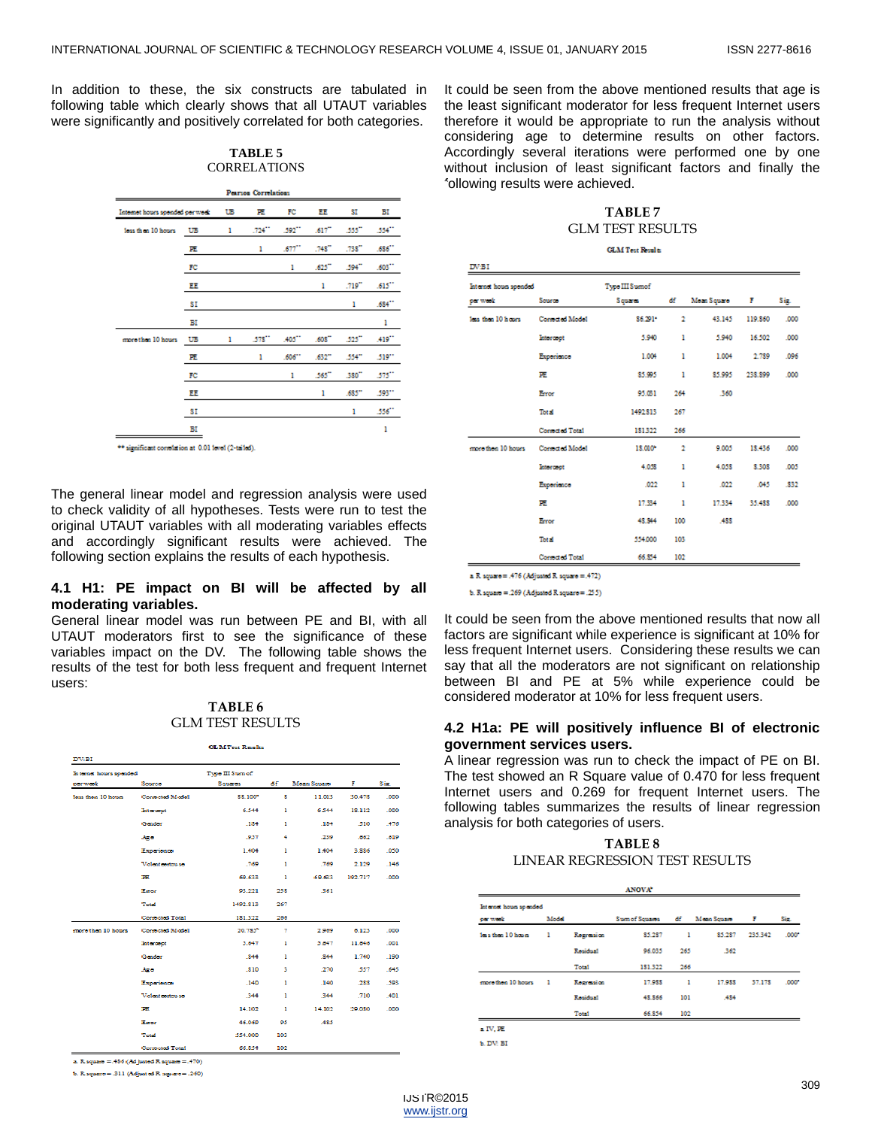In addition to these, the six constructs are tabulated in following table which clearly shows that all UTAUT variables were significantly and positively correlated for both categories.

| TABLE 5             |
|---------------------|
| <b>CORRELATIONS</b> |

| <b>Pearson Correlations</b>     |    |    |                      |                    |                      |                      |                      |
|---------------------------------|----|----|----------------------|--------------------|----------------------|----------------------|----------------------|
| Internet hours spended per week |    | UB | 匪                    | FC                 | ΕE                   | SI                   | ВI                   |
| loss than 10 hours              | UB | ı  | $.724$ <sup>27</sup> | 592"               | $.617$ <sup>**</sup> | $.555$ <sup>**</sup> | .554"                |
|                                 | ш  |    | ı                    | .677               | .748                 | $.738-1$             | .686 <sup>2</sup>    |
|                                 | FC |    |                      | ı                  | $.625$ <sup>**</sup> | .594                 | $.603$ <sup>**</sup> |
|                                 | ЕΕ |    |                      |                    | ı                    | $.719$ <sup>**</sup> | $.615^{22}$          |
|                                 | SI |    |                      |                    |                      | ı                    | $.684$ <sup>**</sup> |
|                                 | вг |    |                      |                    |                      |                      | ı                    |
| more than 10 hours              | UB | ı  | $.578$ <sup>**</sup> | .405 <sup>**</sup> | $.608-1$             | $.525^{m}$           | $.419$ <sup>**</sup> |
|                                 | 匪  |    | ı                    | .606"              | .632 <sup>m</sup>    | .554"                | .519**               |
|                                 | FC |    |                      | ı                  | .565                 | .380"                | 575"                 |
|                                 | EE |    |                      |                    | ı                    | .685 <sup>2</sup>    | .593**               |
|                                 | SI |    |                      |                    |                      | ı                    | $.556$ <sup>**</sup> |
|                                 | вг |    |                      |                    |                      |                      | 1                    |

\*\* significant constation at 0.01 level (2-tailed)

The general linear model and regression analysis were used to check validity of all hypotheses. Tests were run to test the original UTAUT variables with all moderating variables effects and accordingly significant results were achieved. The following section explains the results of each hypothesis.

### **4.1 H1: PE impact on BI will be affected by all moderating variables.**

General linear model was run between PE and BI, with all UTAUT moderators first to see the significance of these variables impact on the DV. The following table shows the results of the test for both less frequent and frequent Internet users:

#### **TABLE 6** GLM TEST RESULTS

**CE-MTaur Rando** 

|                        |                  | <b>CETAT TEST INCRESS</b> |     |             |         |      |
|------------------------|------------------|---------------------------|-----|-------------|---------|------|
| <b>DV:BI</b>           |                  |                           |     |             |         |      |
| Internet hours spended |                  | Type III Sum of           |     |             |         |      |
| ope work.              | Source           | Sosseres                  | đ£  | Mean Senato | F       | Siz. |
| loss then 10 hours     | Corrected Medal  | <b>SS.100*</b>            | s   | 11.013      | 30.478  | .000 |
|                        | Intercept        | 6.544                     | ı   | 6.544       | 18.112  | .000 |
|                        | Gender           | .184                      | ı   | .184        | .510    | .476 |
|                        | Ago              | .957                      | 4   | .239        | .662    | .619 |
|                        | Experience       | 1.404                     | ı   | 1,404       | 3.886   | .050 |
|                        | Volent contou so | .769                      | ı   | .769        | 2.129   | .146 |
|                        | Æ                | 69.633                    | ı   | 69.633      | 192.717 | .000 |
|                        | Earne            | 93.221                    | 258 | .361        |         |      |
|                        | Total            | 1492.813                  | 267 |             |         |      |
|                        | Corrected Total  | 181.322                   | 266 |             |         |      |
| more than 10 hours     | Corrected Model  | 20.785*                   | π   | 2.969       | 6.123   | .000 |
|                        | Intercopt        | 5.647                     | ı   | 5.647       | 11.646  | .001 |
|                        | Gender           | .844                      | ı   | .844        | 1.740   | .190 |
|                        | Ago              | .810                      | з   | .270        | .557    | .645 |
|                        | Experience       | .140                      | ı   | .140        | .288    | .593 |
|                        | Volent contou so | .344                      | ı   | .344        | .710    | .401 |
|                        | PE               | 14.102                    | ı   | 14.102      | 29.080  | .000 |
|                        | Earne            | 46.069                    | 95  | .485        |         |      |
|                        | Total            | 554,000                   | 103 |             |         |      |
|                        | Concerted Total  | 66.854                    | 102 |             |         |      |

a. R. square =  $.486$  ( $Ad$  justed R. square =  $.470$ )

b. R square = .311 (Adjusted R square = .260)

It could be seen from the above mentioned results that age is the least significant moderator for less frequent Internet users therefore it would be appropriate to run the analysis without considering age to determine results on other factors. Accordingly several iterations were performed one by one without inclusion of least significant factors and finally the following results were achieved.

## **TABLE 7** GLM TEST RESULTS

**GLM Test Results** 

| DV:BI                  |                        |                |                |               |         |      |
|------------------------|------------------------|----------------|----------------|---------------|---------|------|
| Internet hours spended |                        | Type III Sumof |                |               |         |      |
| per week               | Source                 | Squares        | df             | Moan Square F |         | Sig. |
| less then 10 hours     | <b>Consected Model</b> | 86.291*        | $\mathbf 2$    | 43.145        | 119,860 | .000 |
|                        | Intercept              | 5.940          | ı              | 5.940         | 16.502  | .000 |
|                        | Experience             | 1.001          | ı              | 1.004         | 2,789   | .096 |
|                        | РE                     | 85.995         | ı              | 85,995        | 238,899 | .000 |
|                        | Error                  | 95.081         | 264            | .360          |         |      |
|                        | Total                  | 1492.813       | 267            |               |         |      |
|                        | Consisted Total        | 181322         | 266            |               |         |      |
| more then 10 hours     | Corrocted Model        | 18,010*        | $\overline{2}$ | 9.005         | 18,436  | .000 |
|                        | Intercept              | 4.038          | ı              | 4.058         | 8.308   | .005 |
|                        | Experience             | .022           | ı              | .022          | .045    | .832 |
|                        | PE                     | 17.334         | 1              | 17.334        | 35.488  | .000 |
|                        | Error                  | 48.844         | 100            | .488          |         |      |
|                        | Total                  | 554,000        | 103            |               |         |      |
|                        | <b>Consided Total</b>  | 66.854         | 102            |               |         |      |

a R square = .476 (Adjusted R square = .472)

b. R square = .269 (Adjusted R square = .255)

It could be seen from the above mentioned results that now all factors are significant while experience is significant at 10% for less frequent Internet users. Considering these results we can say that all the moderators are not significant on relationship between BI and PE at 5% while experience could be considered moderator at 10% for less frequent users.

## **4.2 H1a: PE will positively influence BI of electronic government services users.**

A linear regression was run to check the impact of PE on BI. The test showed an R Square value of 0.470 for less frequent Internet users and 0.269 for frequent Internet users. The following tables summarizes the results of linear regression analysis for both categories of users.

## **TABLE 8** LINEAR REGRESSION TEST RESULTS

| Internet house spended |              |            |                |      |             |         |       |
|------------------------|--------------|------------|----------------|------|-------------|---------|-------|
| per week               | Model        |            | Sum of Squares | df - | Mean Souzes | F       | Sás.  |
| less than 10 hours     | ı            | Regression | \$5,287        | ı    | \$5,287     | 235.342 | .000* |
|                        |              | Residual   | 96.035         | 265  | .362        |         |       |
|                        |              | Total      | 181.322        | 266  |             |         |       |
| more then 10 hours     | $\mathbf{1}$ | Rosression | 17.988         | п    | 17.988      | 37.178  | .000* |
|                        |              | Residual   | 48.866         | 101  | .484        |         |       |
|                        |              | Total      | 66.854         | 102  |             |         |       |

**6. DV: BI**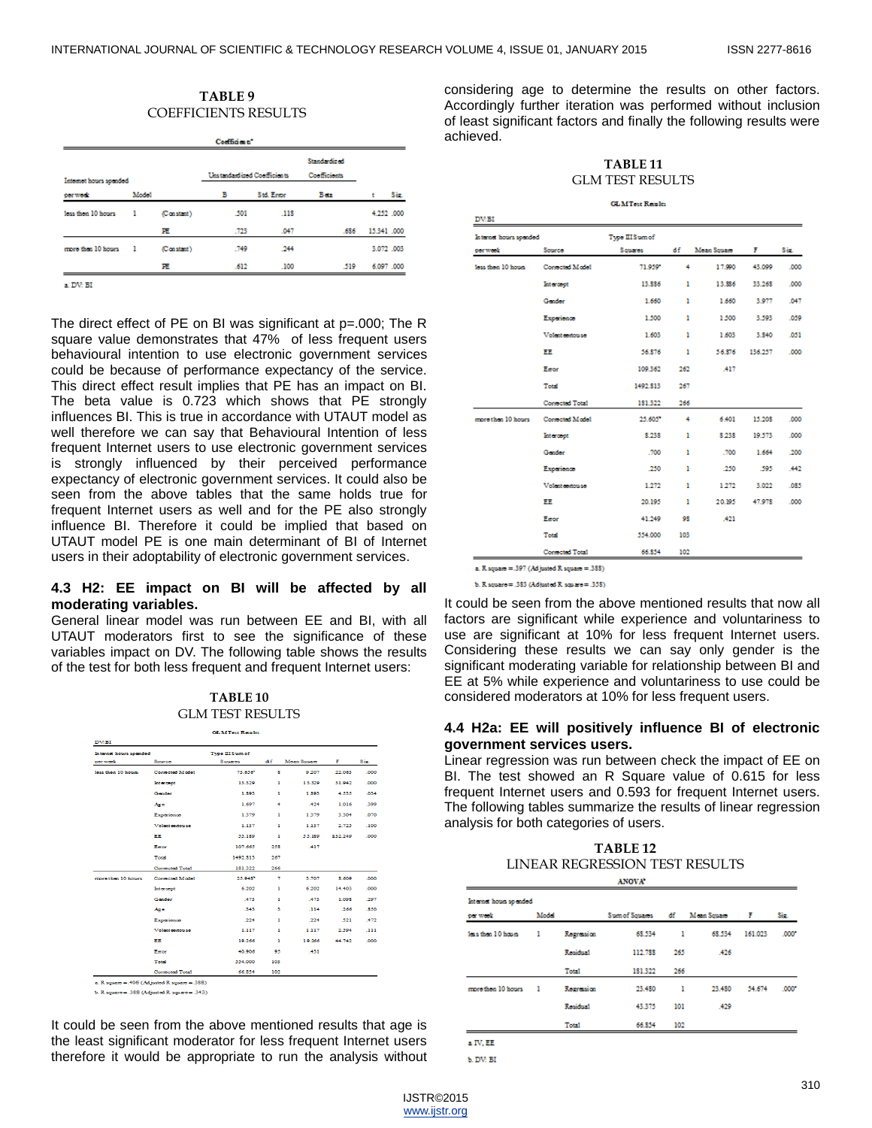#### **TABLE 9** COEFFICIENTS RESULTS

|                        |       |            | Coefficients"                |            |                                     |    |             |
|------------------------|-------|------------|------------------------------|------------|-------------------------------------|----|-------------|
| Internet hours spended |       |            | Unstandard ined Coofficients |            | <b>Standardized</b><br>Coofficients |    |             |
| per week               | Model |            | в                            | Std. Erson | Beta                                | ۰. | Siz.        |
| loss then 10 hours     | - 1   | (Constant) | .501                         | .118       |                                     |    | 4.252 .000  |
|                        |       | 匪          | .723                         | .047       | .686                                |    | 15.341 .000 |
| more than 10 hours     | - 1   | (Constant) | .749                         | .244       |                                     |    | 3.072 .003  |
|                        |       | 匪          | .612                         | .100       | .519                                |    | 6,097 .000  |

a. DV: BI

The direct effect of PE on BI was significant at p=.000; The R square value demonstrates that 47% of less frequent users behavioural intention to use electronic government services could be because of performance expectancy of the service. This direct effect result implies that PE has an impact on BI. The beta value is 0.723 which shows that PE strongly influences BI. This is true in accordance with UTAUT model as well therefore we can say that Behavioural Intention of less frequent Internet users to use electronic government services is strongly influenced by their perceived performance expectancy of electronic government services. It could also be seen from the above tables that the same holds true for frequent Internet users as well and for the PE also strongly influence BI. Therefore it could be implied that based on UTAUT model PE is one main determinant of BI of Internet users in their adoptability of electronic government services.

## **4.3 H2: EE impact on BI will be affected by all moderating variables.**

General linear model was run between EE and BI, with all UTAUT moderators first to see the significance of these variables impact on DV. The following table shows the results of the test for both less frequent and frequent Internet users:

| TABLE <sub>10</sub>     |
|-------------------------|
| <b>GLM TEST RESULTS</b> |

|                        |                            | <b>GLMTest Readts</b> |     |             |         |                  |
|------------------------|----------------------------|-----------------------|-----|-------------|---------|------------------|
| DV:BI                  |                            |                       |     |             |         |                  |
| Internet hours spended |                            | Two III Sum of        |     |             |         |                  |
| per week               | Source                     | Squares               | đf  | Mean Square | F.      | Siz.             |
| Sens them 10 Scopes    | Consected Middel           | 73.656*               | ×   | 9.207       | 22.063  | .000             |
|                        | Intercept                  | 13,329                | ٠   | 13.329      | 31.942  | 000 <sub>o</sub> |
|                        | Gender                     | 1.893                 | ٠   | 1.893       | 4.535   | .034             |
|                        | Ago                        | 1.697                 | 4   | .424        | 1.016   | .399             |
|                        | Experience                 | 1.379                 | ٠   | 1.379       | 3.304   | .070             |
|                        | Voluntements               | 1,137                 | ٠   | 1.137       | 2.725   | .100             |
|                        | <b>EE</b>                  | 55.189                | ٠   | 55.159      | 132.249 | 000              |
|                        | Earner                     | 107.665               | 258 | A17         |         |                  |
|                        | Total                      | 1492.813              | 267 |             |         |                  |
|                        | Corrected Total            | 181.322               | 266 |             |         |                  |
| monsthen 10 hours      | Consocted Model            | 25.94S*               | ÷,  | 3.707       | \$,609  | .000             |
|                        | Intercept                  | 6.202                 | ٠   | 6.202       | 14.403  | .000             |
|                        | Gender                     | .473                  | ٠   | $-473$      | 1.098   | .297             |
|                        | Ago                        | .343                  | з   | .114        | .266    | .850             |
|                        | Experience                 | .224                  | ٠   | .224        | .521    | .472             |
|                        | <b>Medium construction</b> | 1,117                 | ٠   | 1,117       | 2.594   | 111              |
|                        | EE                         | 19.266                | ٠   | 19.266      | 44.742  | .000             |
|                        | Eeroe                      | 40.906                | 95  | .431        |         |                  |
|                        | Total                      | 554,000               | 103 |             |         |                  |
|                        | <b>Corrected Total</b>     | 66.854                | 102 |             |         |                  |

a. R square = .406 (Ad justed R square = .388)

b. R square = .388 (Adjusted R square = .343)

It could be seen from the above mentioned results that age is the least significant moderator for less frequent Internet users therefore it would be appropriate to run the analysis without considering age to determine the results on other factors. Accordingly further iteration was performed without inclusion of least significant factors and finally the following results were achieved.

**TABLE 11** GLM TEST RESULTS

|  | <b>GLMTest Readt</b> |  |  |
|--|----------------------|--|--|

| Internet hours spended<br>ner week<br>Source |                    | Type III Sum of |     |             |         |      |
|----------------------------------------------|--------------------|-----------------|-----|-------------|---------|------|
|                                              |                    | Squares         | đ£  | Moan Square | F.      | Sis. |
| less then 10 hours                           | Corrected Medel    | 71.959*         | 4   | 17.990      | 43.099  | .000 |
|                                              | Intercopt          | 13.886          | ı   | 13.886      | 33.268  | .000 |
|                                              | Guider             | 1.660           | ı   | 1.660       | 3.977   | .047 |
|                                              | Experience         | 1.500           | ı   | 1,500       | 3.593   | .059 |
|                                              | Volent endouse     | 1.603           | ı   | 1.603       | 3.840   | .051 |
|                                              | EE                 | 56,876          | ı   | 56.876      | 136.257 | .000 |
|                                              | Eator              | 109.362         | 262 | .417        |         |      |
|                                              | Total              | 1492.813        | 267 |             |         |      |
|                                              | Corrected Total    | 181.322         | 266 |             |         |      |
| more than 10 hours                           | Cornected Medal    | 25,605*         | 4   | 6.401       | 15,208  | .000 |
|                                              | Intercopt          | 8.238           | ı   | 8.238       | 19.573  | .000 |
|                                              | <b>Guider</b>      | .700            | ı   | .700        | 1.664   | .200 |
|                                              | Experience         | .250            | ı   | .250        | .595    | .442 |
|                                              | Volent entities se | 1.272           | ı   | 1.272       | 3.022   | .085 |
|                                              | EE                 | 20.195          | ı   | 20.195      | 47.978  | .000 |
|                                              | Eator              | 41.249          | 98  | .421        |         |      |
|                                              | Total              | 554.000         | 103 |             |         |      |
|                                              | Cornected Total    | 66.854          | 102 |             |         |      |

b. R square = .383 (Adjusted R square = .358)

It could be seen from the above mentioned results that now all factors are significant while experience and voluntariness to use are significant at 10% for less frequent Internet users. Considering these results we can say only gender is the significant moderating variable for relationship between BI and EE at 5% while experience and voluntariness to use could be considered moderators at 10% for less frequent users.

## **4.4 H2a: EE will positively influence BI of electronic government services users.**

Linear regression was run between check the impact of EE on BI. The test showed an R Square value of 0.615 for less frequent Internet users and 0.593 for frequent Internet users. The following tables summarize the results of linear regression analysis for both categories of users.

| TABLE 12                       |
|--------------------------------|
| LINEAR REGRESSION TEST RESULTS |

| ANOVA                  |       |                   |                |     |                 |         |       |  |
|------------------------|-------|-------------------|----------------|-----|-----------------|---------|-------|--|
| Internet hours spended |       |                   |                |     |                 |         |       |  |
| our week.              | Model |                   | Sum of Squanos | df  | Moan Square     | я       | Sec.  |  |
| less than 10 hours     | ı     | Regression        | 68.534         | ı   | 68.534          | 161.023 | .000* |  |
|                        |       | Residual          | 112,733        | 265 | .426            |         |       |  |
|                        |       | Total             | 181.322        | 266 |                 |         |       |  |
| more then 10 hours     | 1     | <b>Regression</b> | 23,480         | ı   | 23,480          | 54.674  | .000* |  |
|                        |       | Residual          | 43.375         | 101 | A <sub>29</sub> |         |       |  |
|                        |       | Total             | 66.854         | 102 |                 |         |       |  |

a IV. EE **6. DV: BI** 

IJSTR©2015

www.ijstr.org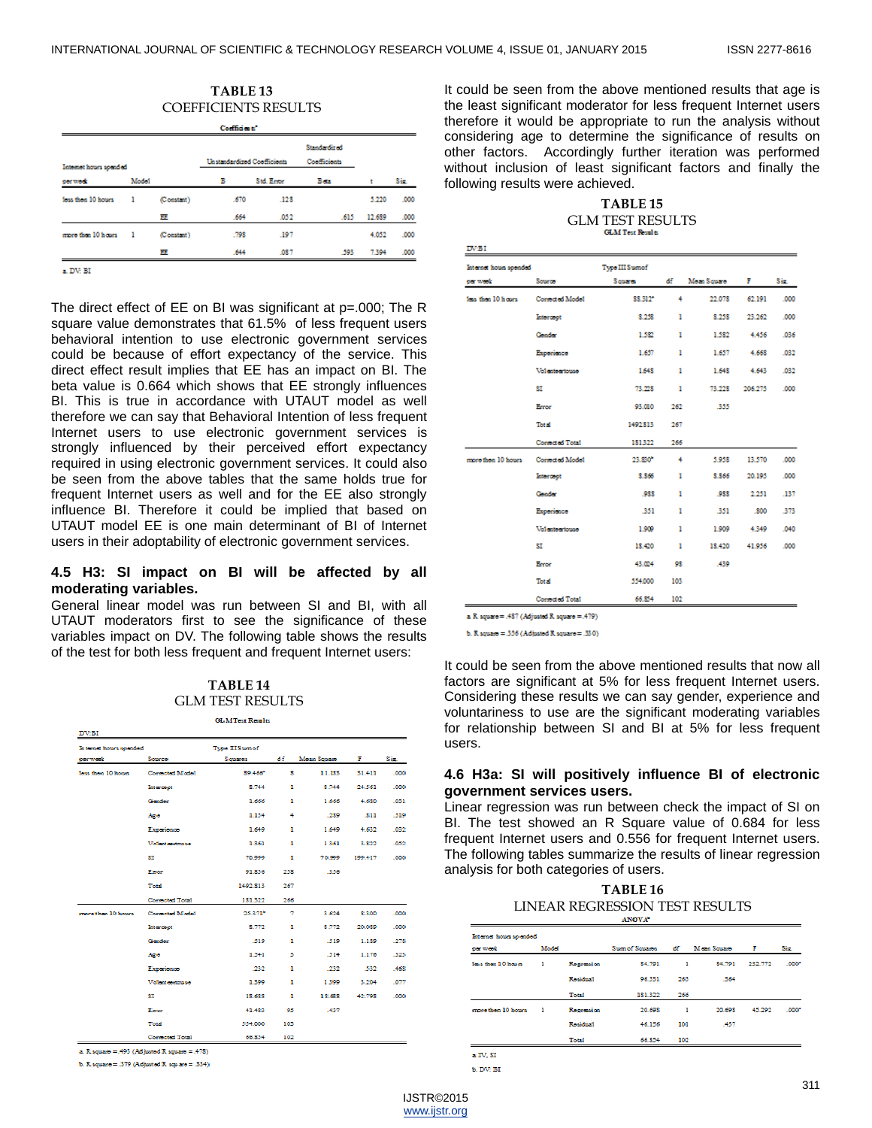| TABLE 13                    |  |
|-----------------------------|--|
| <b>COEFFICIENTS RESULTS</b> |  |

| Coefficients"          |       |            |                                    |            |                                     |        |      |
|------------------------|-------|------------|------------------------------------|------------|-------------------------------------|--------|------|
| Internet hours spended |       |            | <b>Unstandardized Conflicionts</b> |            | <b>Standardized</b><br>Coofficients |        |      |
| per week               | Model |            | в                                  | Std. Ersor | Beta                                | ŧ      | Sis. |
| loss then 10 hours     | ı     | (Constant) | .670                               | .128       |                                     | 5.220  | .000 |
|                        |       | ш          | .664                               | .052       | .615                                | 12,689 | .000 |
| more than 10 hours.    | - 1   | (Constant) | .798                               | .197       |                                     | 4.052  | .000 |
|                        |       | ш          | .644                               | .087       | .593                                | 7.394  | .000 |

 $\mathbf{a}, \mathbf{D} \mathbf{W}, \mathbf{B} \mathbf{I}$ 

The direct effect of EE on BI was significant at p=.000; The R square value demonstrates that 61.5% of less frequent users behavioral intention to use electronic government services could be because of effort expectancy of the service. This direct effect result implies that EE has an impact on BI. The beta value is 0.664 which shows that EE strongly influences BI. This is true in accordance with UTAUT model as well therefore we can say that Behavioral Intention of less frequent Internet users to use electronic government services is strongly influenced by their perceived effort expectancy required in using electronic government services. It could also be seen from the above tables that the same holds true for frequent Internet users as well and for the EE also strongly influence BI. Therefore it could be implied that based on UTAUT model EE is one main determinant of BI of Internet users in their adoptability of electronic government services.

## **4.5 H3: SI impact on BI will be affected by all moderating variables.**

General linear model was run between SI and BI, with all UTAUT moderators first to see the significance of these variables impact on DV. The following table shows the results of the test for both less frequent and frequent Internet users:

| TABLE 14         |
|------------------|
| GLM TEST RESULTS |

**GLMTest Reads:** 

| DV:BI                  |                        |                 |                |             |         |      |
|------------------------|------------------------|-----------------|----------------|-------------|---------|------|
| Internet hours spended |                        | Type III Sum of |                |             |         |      |
| per week.              | Source                 | Separes         | đf             | Moan Square | F       | Siz. |
| less then 10 hours     | Corrected Model        | 89.466*         | s              | 11.183      | 31.411  | .000 |
|                        | Intercept              | \$.744          | ı              | \$.744      | 24.561  | .000 |
|                        | Gender                 | 1.666           | ı              | 1.666       | 4.680   | 031  |
|                        | Ago                    | 1.154           | 4              | .289        | .811    | .519 |
|                        | Experience             | 1,649           | ı              | 1.649       | 4.632   | .032 |
|                        | Volent contou-so       | 1.361           | ı              | 1361        | 3.822   | .052 |
|                        | SI                     | 70,999          | ı              | 70.999      | 199.417 | .000 |
|                        | Eeor                   | 91.856          | 258            | .356        |         |      |
|                        | Total                  | 1492.813        | 267            |             |         |      |
|                        | Corrected Total        | 181.322         | 266            |             |         |      |
| more than 10 hours.    | Corrected Model        | 25.371*         | $\overline{7}$ | 3.624       | 8,300   | .000 |
|                        | <b>Intercoot</b>       | 8.772           | ı              | 8.772       | 20.089  | .000 |
|                        | Gender                 | -519            | ı              | .519        | 1,189   | .278 |
|                        | Ago                    | 1.541           | з              | .514        | 1.176   | .323 |
|                        | Experience             | -232            | ı              | .232        | .532    | .468 |
|                        | Volent engloss so      | 1.399           | ı              | 1.399       | 3.204   | .077 |
|                        | SI                     | 18,688          | ı              | 18.688      | 42.798  | .000 |
|                        | Earce                  | 41.483          | 95             | .437        |         |      |
|                        | Total                  | 554.000         | 103            |             |         |      |
|                        | <b>Corrected Total</b> | 66.854          | 102            |             |         |      |

a. R. square = .493 (Ad justed R. square = .478)

b. R square = .379 (Adjusted R square = .334)

It could be seen from the above mentioned results that age is the least significant moderator for less frequent Internet users therefore it would be appropriate to run the analysis without considering age to determine the significance of results on other factors. Accordingly further iteration was performed without inclusion of least significant factors and finally the following results were achieved.

## **TABLE 15** GLM TEST RESULTS

| Internet hours spended |                        | Two IIIS umof |     |             |         |      |
|------------------------|------------------------|---------------|-----|-------------|---------|------|
| per week               | Source                 | Squares       | đf  | Moan Souare | F       | Siz. |
| less than 10 hours.    | Corrected Model        | \$\$,312*     | 4   | 22.078      | 62.191  | .000 |
|                        | Intercept              | 8.258         | ı   | 8.258       | 23.262  | .000 |
|                        | Gonder                 | 1.582         | ı   | 1.582       | 4.456   | .036 |
|                        | Experience             | 1.657         | ı   | 1.657       | 4.668   | .032 |
|                        | Volentoertouse         | 1,648         | ı   | 1.648       | 4.643   | .032 |
|                        | ST                     | 73.228        | ı   | 73.228      | 206,275 | .000 |
|                        | Error                  | 93.010        | 262 | 355         |         |      |
|                        | Total                  | 1492.813      | 267 |             |         |      |
|                        | Corrected Total        | 181322        | 266 |             |         |      |
| more then 10 hours     | <b>Consected Model</b> | 23.830*       | 4   | 5.958       | 13.570  | .000 |
|                        | Intercept              | 8.866         | ı   | 8.866       | 20,195  | .000 |
|                        | Gooder                 | .988          | ı   | .988        | 2.251   | .137 |
|                        | Experience             | .351          | ı   | 351         | .800    | .373 |
|                        | Volentsertouse         | 1.909         | ı   | 1.909       | 4.349   | .040 |
|                        | ST                     | 18,420        | ı   | 18.420      | 41.956  | .000 |
|                        | Error                  | 43.024        | 93  | .439        |         |      |
|                        | Total                  | 554,000       | 103 |             |         |      |
|                        | Cornected Total        | 66.854        | 102 |             |         |      |

a R square = .487 (Adjusted R square = .479)

b. R square =  $.356$  (Adjusted R square =  $.330$ )

It could be seen from the above mentioned results that now all factors are significant at 5% for less frequent Internet users. Considering these results we can say gender, experience and voluntariness to use are the significant moderating variables for relationship between SI and BI at 5% for less frequent users.

## **4.6 H3a: SI will positively influence BI of electronic government services users.**

Linear regression was run between check the impact of SI on BI. The test showed an R Square value of 0.684 for less frequent Internet users and 0.556 for frequent Internet users. The following tables summarize the results of linear regression analysis for both categories of users.

| TABLE 16                       |
|--------------------------------|
| LINEAR REGRESSION TEST RESULTS |

| per week            | Model |                   | Sum of Squares | đE. | Mean Squano | я       | Sin.  |
|---------------------|-------|-------------------|----------------|-----|-------------|---------|-------|
| less than 10 hours. | ı     | <b>Regression</b> | 84.791         | ı   | 84.791      | 232.772 | .000* |
|                     |       | Residual          | 96.531         | 265 | .364        |         |       |
|                     |       | Total             | 181.322        | 266 |             |         |       |
| more then 10 hours  | - 1   | <b>Regression</b> | 20.698         | ı   | 20.698      | 45.292  | .000* |
|                     |       | Renichsal         | 46.156         | 101 | .457        |         |       |
|                     |       | Total             | 66.854         | 102 |             |         |       |

b. DV: B)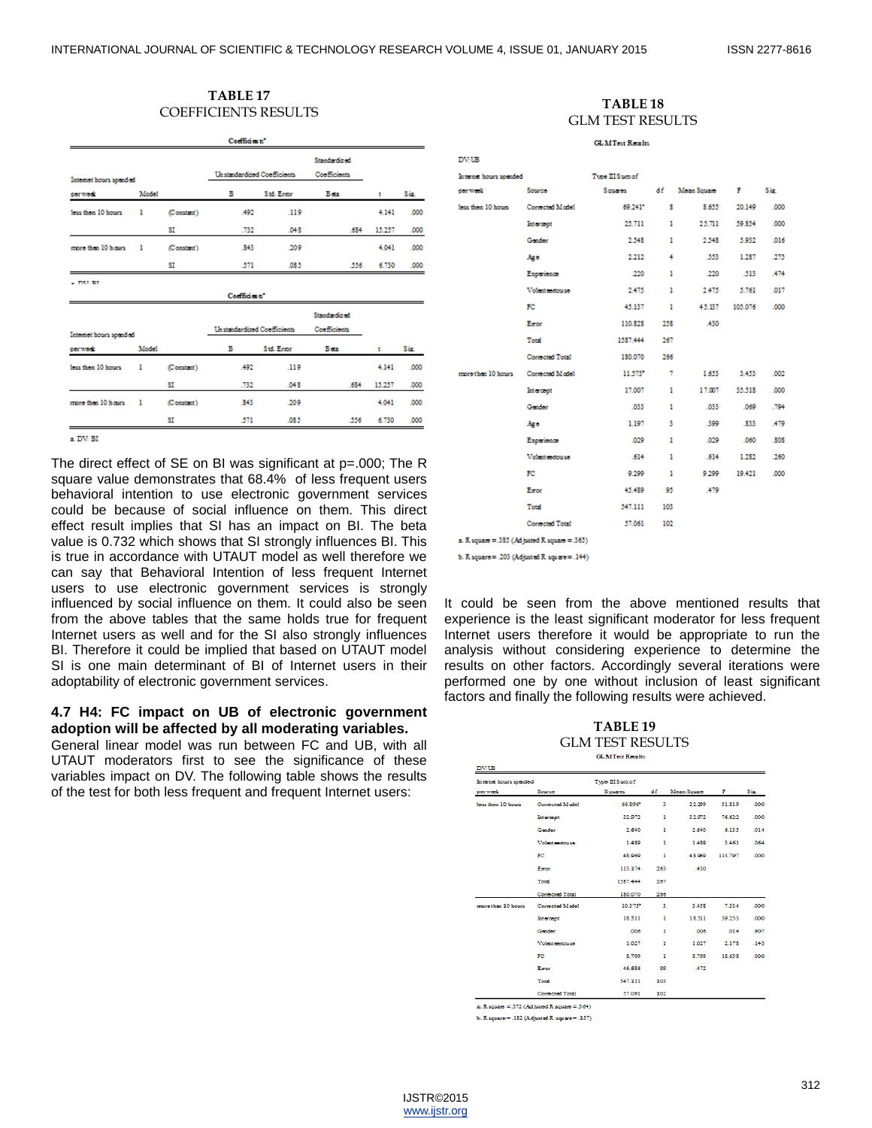## **TABLE 17** TABLE 17<br>
COEFFICIENTS RESULTS **TABLE 18**

|                        |       |                                    | Codfides to"                       |                                     |                     |        |      |
|------------------------|-------|------------------------------------|------------------------------------|-------------------------------------|---------------------|--------|------|
| Internet hours spended |       | <b>Unstandardized Coefficients</b> |                                    | Standardined<br><b>Confincionts</b> |                     |        |      |
| oor work               | Model |                                    | в                                  | Std. Erson                          | Beta                | ٠      | Sis. |
| loss then 10 hours     | ı     | (Constant)                         | .492                               | .119                                |                     | 4.141  | .000 |
|                        |       | ST                                 | .732                               | .048                                | 634                 | 15.257 | .000 |
| more than 10 hours     | ı     | (Constant)                         | .843                               | .209                                |                     | 4.041  | .000 |
|                        |       | SI                                 | -571                               | .085                                | .556                | 6.730  | .000 |
|                        |       |                                    | Coefficients'                      |                                     | Standardined        |        |      |
| Internet hours spended |       |                                    | <b>Unstandardized Conflicionts</b> |                                     | <b>Confricients</b> |        |      |
| per week               | Model |                                    | в                                  | Std. Erson                          | Beta                | ٠      | Siz. |
| less then 10 hours.    | ı     | (Constant)                         | .492                               | .119                                |                     | 4.141  | 000  |
|                        |       | ST                                 | .732                               | .048                                | 634                 | 15.257 | .000 |
| more than 10 hours     | ı     | (Constant)                         | 343                                | 209                                 |                     | 4.041  | 000  |
|                        |       | SI                                 | 571                                | .085                                | .556                | 6.730  | .000 |

 $*$  DV-RI

The direct effect of SE on BI was significant at p=.000; The R square value demonstrates that 68.4% of less frequent users behavioral intention to use electronic government services could be because of social influence on them. This direct effect result implies that SI has an impact on BI. The beta value is 0.732 which shows that SI strongly influences BI. This is true in accordance with UTAUT model as well therefore we can say that Behavioral Intention of less frequent Internet users to use electronic government services is strongly influenced by social influence on them. It could also be seen from the above tables that the same holds true for frequent Internet users as well and for the SI also strongly influences BI. Therefore it could be implied that based on UTAUT model SI is one main determinant of BI of Internet users in their adoptability of electronic government services.

## **4.7 H4: FC impact on UB of electronic government adoption will be affected by all moderating variables.**

General linear model was run between FC and UB, with all UTAUT moderators first to see the significance of these variables impact on DV. The following table shows the results of the test for both less frequent and frequent Internet users:

## GLM TEST RESULTS

**GLMTest Realts** 

| <b>DV:UB</b>                                       |                 |                            |     |                  |          |      |
|----------------------------------------------------|-----------------|----------------------------|-----|------------------|----------|------|
| Internet hours spended                             |                 | Two III Sum of             |     |                  |          |      |
| per week                                           | Source          | Signations <b>Services</b> |     | df Moan Square F |          | Siz. |
| loss then 10 hours                                 | Corrected Medel | 69.241*                    | s   | 8.655            | 20.149   | .000 |
|                                                    | Intercord       | 25.711                     | ı.  | 25.711           | 59.854   | .000 |
|                                                    | Gender          | 2.548                      | ı   | 2.548            | 5.932    | .016 |
|                                                    | Ago             | 2.212                      | 4   | .553             | 1.287    | .275 |
|                                                    | Experience      | .220                       | ı   | .220             | $.513 -$ | .474 |
|                                                    | Volent concuses | 2.475                      | ı.  | 2.475            | 5.761    | .017 |
|                                                    | FC              | 45.137                     | ı.  | 45.137           | 105.076  | .000 |
|                                                    | Eeroe           | 110.828                    | 258 | .430             |          |      |
|                                                    | Total           | 1587.444                   | 267 |                  |          |      |
|                                                    | Cornected Total | 180.070                    | 266 |                  |          |      |
| more than 10 hours Corrected Model                 |                 | 11.573*                    | 7   | 1.653            | 3.453    | .002 |
|                                                    | Intercept       | 17.007                     | ı.  | 17.007           | 35.518   | .000 |
|                                                    | Gender          | .033                       | ı   | .033             | .069     | .794 |
|                                                    | Ago             | 1.197                      | 3.  | .399             | .833     | .479 |
|                                                    | Experience      | .029                       | ı   | .029             | .060     | .808 |
|                                                    | Volent contouse | .614                       | ı   | .614             | 1.282    | .260 |
|                                                    | FC              | 9.299                      | ı   | 9.299            | 19.421   | .000 |
|                                                    | Eeroe           | 45.489                     | 95  | A79              |          |      |
|                                                    | Total           | 547.111                    | 103 |                  |          |      |
|                                                    | Corrected Total | 57.061                     | 102 |                  |          |      |
| a. $R$ square = .385 (Ad justed $R$ square = .365) |                 |                            |     |                  |          |      |

b. R square = .203 (Adjusted R square = .144)

It could be seen from the above mentioned results that experience is the least significant moderator for less frequent Internet users therefore it would be appropriate to run the analysis without considering experience to determine the results on other factors. Accordingly several iterations were performed one by one without inclusion of least significant factors and finally the following results were achieved.

## **TABLE 19** GLM TEST RESULTS

| Internet hours spended | Two III Sum of   |          |     |            |         |      |
|------------------------|------------------|----------|-----|------------|---------|------|
| corners'               | Source           | Squares  | df. | Mean Souze | F.      | Siz. |
| tess then 10 hours.    | Connected Model  | 66.896*  | з   | 22.299     | 51,819  | .000 |
|                        | <b>Intercept</b> | 32,972   | ı   | 32,972     | 76.622  | .000 |
|                        | Gender           | 2,640    | п   | 2,640      | 6.135   | .014 |
|                        | Volent endors se | 1.489    | ı   | 1,489      | 3.461   | .064 |
|                        | FC               | 48,969   | ٠   | 48,969     | 113,797 | .000 |
|                        | Earne            | 113, 174 | 263 | .430       |         |      |
|                        | Total            | 1587.444 | 267 |            |         |      |
|                        | Cornsched Total  | 180,070  | 266 |            |         |      |
| more than 10 hours     | Consected Model  | 10.375*  | з   | 3,458      | 7.334   | .000 |
|                        | intercopt        | 18.511   | ı   | 18.511     | 39.253  | .000 |
|                        | Gender           | .006     | ٠   | .006       | .014    | .907 |
|                        | Volent endots se | 1.027    | ı   | 1.027      | 2.178   | .143 |
|                        | FC               | \$,799   | ı   | \$.799     | 18,658  | .000 |
|                        | Earon            | 46.686   | 99  | .472       |         |      |
|                        | Total            | 547.111  | 103 |            |         |      |
|                        | Connected Total  | 57.061   | 102 |            |         |      |

a. R square =  $.372$  (Ad justed R square =  $.364$ )

b. R square =  $.182$  (Adjusted R square =  $.157$ )

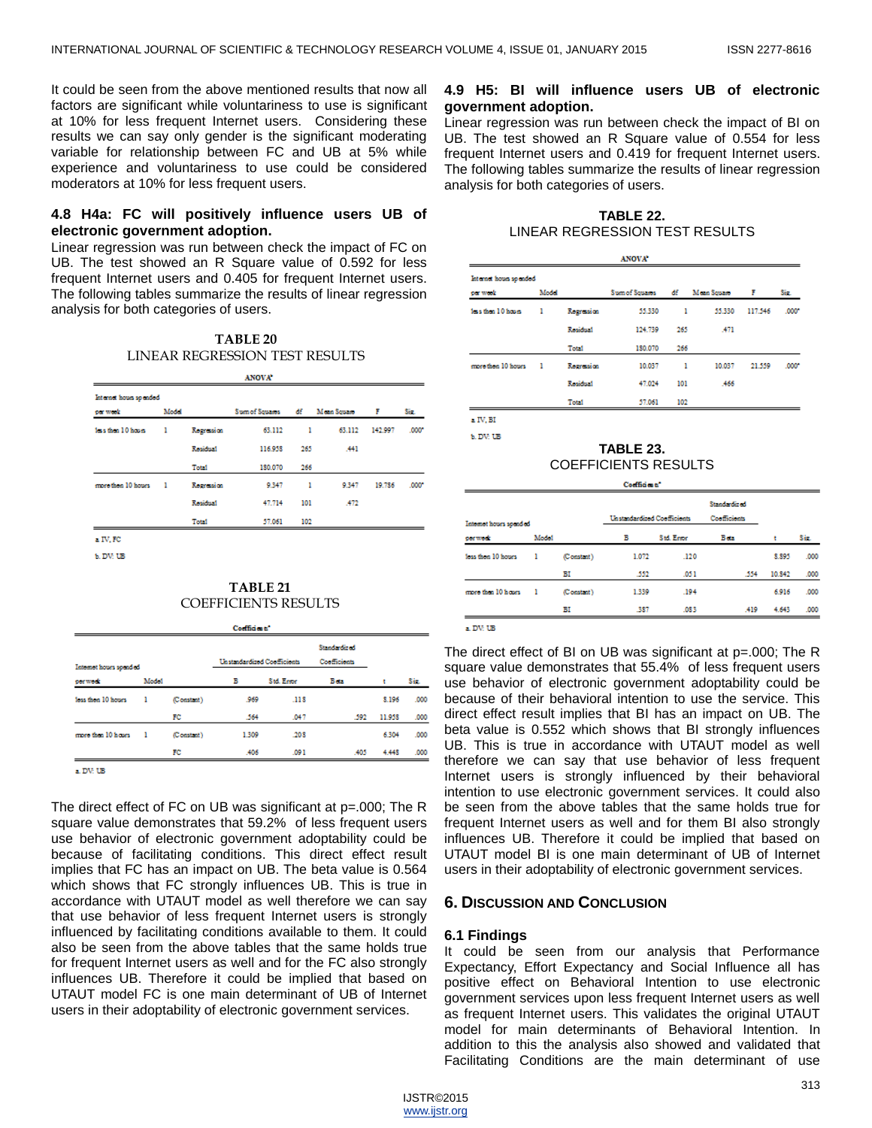It could be seen from the above mentioned results that now all factors are significant while voluntariness to use is significant at 10% for less frequent Internet users. Considering these results we can say only gender is the significant moderating variable for relationship between FC and UB at 5% while experience and voluntariness to use could be considered moderators at 10% for less frequent users.

## **4.8 H4a: FC will positively influence users UB of electronic government adoption.**

Linear regression was run between check the impact of FC on UB. The test showed an R Square value of 0.592 for less frequent Internet users and 0.405 for frequent Internet users. The following tables summarize the results of linear regression analysis for both categories of users.

| TABLE 20                       |
|--------------------------------|
| LINEAR REGRESSION TEST RESULTS |

| Internet hours spended |       |            |                |     |             |         |       |
|------------------------|-------|------------|----------------|-----|-------------|---------|-------|
| per week               | Model |            | Sum of Squases | đf  | Moon Square | F       | Say.  |
| less than 10 hours     | ı     | Regression | 63.112         | ı   | 63.112      | 142,997 | .000* |
|                        |       | Residual   | 116,958        | 265 | .441        |         |       |
|                        |       | Total      | 180.070        | 266 |             |         |       |
| more then 10 hours.    | - 1   | Regression | 9.347          | 1   | 9.347       | 19.786  | .000* |
|                        |       | Residual   | 47.714         | 101 | .472        |         |       |
|                        |       | Total      | 57.061         | 102 |             |         |       |

**EDV UB** 

## **TABLE 21** COEFFICIENTS RESULTS

| Internet hours spended |       | Unstandardized Coofficients |       | <b>Standardized</b><br>Coofficients |      |        |      |
|------------------------|-------|-----------------------------|-------|-------------------------------------|------|--------|------|
| per week               | Model |                             | в     | <b>Std. Erson</b>                   | Beta |        | Sir. |
| loss then 10 hours     | ı     | (Constant)                  | .969  | .118                                |      | 8.196  | .000 |
|                        |       | FC                          | 564   | .047                                | .592 | 11.958 | .000 |
| more than 10 hours     | - 1   | (Constant)                  | 1.309 | .208                                |      | 6.304  | .000 |
|                        |       | FC                          | .406  | .091                                | .405 | 4.448  | .000 |

a. DV: UB

The direct effect of FC on UB was significant at p=.000; The R square value demonstrates that 59.2% of less frequent users use behavior of electronic government adoptability could be because of facilitating conditions. This direct effect result implies that FC has an impact on UB. The beta value is 0.564 which shows that FC strongly influences UB. This is true in accordance with UTAUT model as well therefore we can say that use behavior of less frequent Internet users is strongly influenced by facilitating conditions available to them. It could also be seen from the above tables that the same holds true for frequent Internet users as well and for the FC also strongly influences UB. Therefore it could be implied that based on UTAUT model FC is one main determinant of UB of Internet users in their adoptability of electronic government services.

## **4.9 H5: BI will influence users UB of electronic government adoption.**

Linear regression was run between check the impact of BI on UB. The test showed an R Square value of 0.554 for less frequent Internet users and 0.419 for frequent Internet users. The following tables summarize the results of linear regression analysis for both categories of users.

## **TABLE 22.** LINEAR REGRESSION TEST RESULTS

| <b>ANOVA</b> *                     |       |            |                |     |             |         |       |  |
|------------------------------------|-------|------------|----------------|-----|-------------|---------|-------|--|
| Internet hours spended<br>per week | Model |            | Sum of Squares | đf  | Moon Souges | F       | Se.   |  |
| less than 10 hours                 | ı     | Regression | 55.330         | ı   | 55.330      | 117.546 | .000* |  |
|                                    |       | Residual   | 124.739        | 265 | A71         |         |       |  |
|                                    |       | Total      | 180,070        | 266 |             |         |       |  |
| more then 10 hours.                | ı     | Regression | 10.037         | ı   | 10.037      | 21.559  | .000* |  |
|                                    |       | Residual   | 47.024         | 101 | .466        |         |       |  |
|                                    |       | Total      | 57.061         | 102 |             |         |       |  |

a IV. BI **6. DV: UB** 

#### **TABLE 23.** COEFFICIENTS RESULTS المستعصبان

|                        |       |                             | _______ |              |      |        |      |
|------------------------|-------|-----------------------------|---------|--------------|------|--------|------|
|                        |       |                             |         | Standardized |      |        |      |
| Internet hours spended |       | Unstandardized Coofficients |         | Coofficients |      |        |      |
| perweek                | Model |                             | в       | Std. Erson   | Bota |        | Sis. |
| less then 10 hours     | ı     | (Constant)                  | 1.072   | .120         |      | 8.895  | .000 |
|                        |       | ΒΙ                          | .552    | .051         | .554 | 10.842 | .000 |
| more than 10 hours     | ı     | (Constant)                  | 1.339   | .194         |      | 6.916  | .000 |
|                        |       | вI                          | .387    | .083         | A19  | 4.643  | .000 |

a. DV: UB

The direct effect of BI on UB was significant at p=.000; The R square value demonstrates that 55.4% of less frequent users use behavior of electronic government adoptability could be because of their behavioral intention to use the service. This direct effect result implies that BI has an impact on UB. The beta value is 0.552 which shows that BI strongly influences UB. This is true in accordance with UTAUT model as well therefore we can say that use behavior of less frequent Internet users is strongly influenced by their behavioral intention to use electronic government services. It could also be seen from the above tables that the same holds true for frequent Internet users as well and for them BI also strongly influences UB. Therefore it could be implied that based on UTAUT model BI is one main determinant of UB of Internet users in their adoptability of electronic government services.

## **6. DISCUSSION AND CONCLUSION**

## **6.1 Findings**

It could be seen from our analysis that Performance Expectancy, Effort Expectancy and Social Influence all has positive effect on Behavioral Intention to use electronic government services upon less frequent Internet users as well as frequent Internet users. This validates the original UTAUT model for main determinants of Behavioral Intention. In addition to this the analysis also showed and validated that Facilitating Conditions are the main determinant of use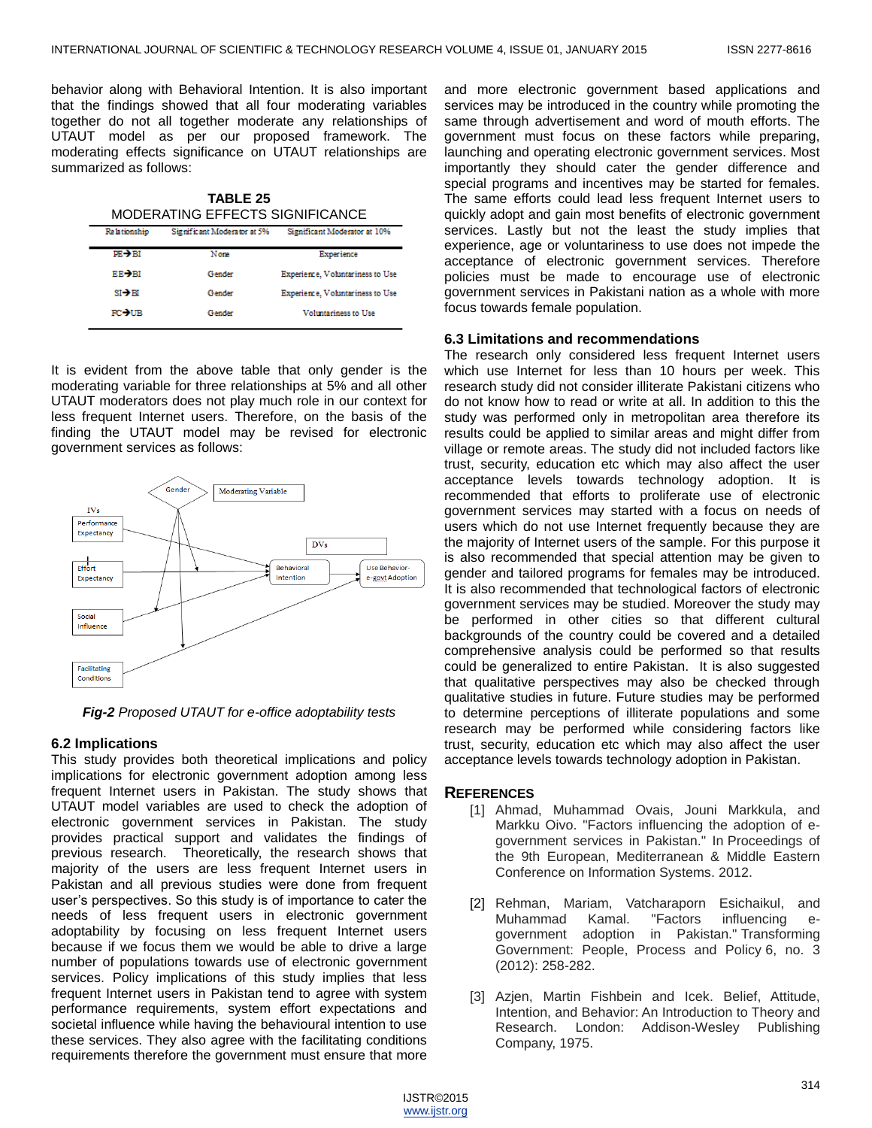behavior along with Behavioral Intention. It is also important that the findings showed that all four moderating variables together do not all together moderate any relationships of UTAUT model as per our proposed framework. The moderating effects significance on UTAUT relationships are summarized as follows:

**TABLE 25** MODERATING EFFECTS SIGNIFICANCE

| Relationship       | Significant Moderator at 5% | Significant Moderator at 10%     |
|--------------------|-----------------------------|----------------------------------|
| $PR \rightarrow B$ | Nome                        | Experience                       |
| RR-YRI             | Gender                      | Experience, Voluntariness to Use |
| $SI \rightarrow H$ | Gender                      | Experience, Voluntariness to Use |
| <b>FC-NIR</b>      | Gender                      | Voluntariness to Use             |
|                    |                             |                                  |

It is evident from the above table that only gender is the moderating variable for three relationships at 5% and all other UTAUT moderators does not play much role in our context for less frequent Internet users. Therefore, on the basis of the finding the UTAUT model may be revised for electronic government services as follows:



*Fig-2 Proposed UTAUT for e-office adoptability tests*

## **6.2 Implications**

This study provides both theoretical implications and policy implications for electronic government adoption among less frequent Internet users in Pakistan. The study shows that UTAUT model variables are used to check the adoption of electronic government services in Pakistan. The study provides practical support and validates the findings of previous research. Theoretically, the research shows that majority of the users are less frequent Internet users in Pakistan and all previous studies were done from frequent user's perspectives. So this study is of importance to cater the needs of less frequent users in electronic government adoptability by focusing on less frequent Internet users because if we focus them we would be able to drive a large number of populations towards use of electronic government services. Policy implications of this study implies that less frequent Internet users in Pakistan tend to agree with system performance requirements, system effort expectations and societal influence while having the behavioural intention to use these services. They also agree with the facilitating conditions requirements therefore the government must ensure that more

and more electronic government based applications and services may be introduced in the country while promoting the same through advertisement and word of mouth efforts. The government must focus on these factors while preparing, launching and operating electronic government services. Most importantly they should cater the gender difference and special programs and incentives may be started for females. The same efforts could lead less frequent Internet users to quickly adopt and gain most benefits of electronic government services. Lastly but not the least the study implies that experience, age or voluntariness to use does not impede the acceptance of electronic government services. Therefore policies must be made to encourage use of electronic government services in Pakistani nation as a whole with more focus towards female population.

## **6.3 Limitations and recommendations**

The research only considered less frequent Internet users which use Internet for less than 10 hours per week. This research study did not consider illiterate Pakistani citizens who do not know how to read or write at all. In addition to this the study was performed only in metropolitan area therefore its results could be applied to similar areas and might differ from village or remote areas. The study did not included factors like trust, security, education etc which may also affect the user acceptance levels towards technology adoption. It is recommended that efforts to proliferate use of electronic government services may started with a focus on needs of users which do not use Internet frequently because they are the majority of Internet users of the sample. For this purpose it is also recommended that special attention may be given to gender and tailored programs for females may be introduced. It is also recommended that technological factors of electronic government services may be studied. Moreover the study may be performed in other cities so that different cultural backgrounds of the country could be covered and a detailed comprehensive analysis could be performed so that results could be generalized to entire Pakistan. It is also suggested that qualitative perspectives may also be checked through qualitative studies in future. Future studies may be performed to determine perceptions of illiterate populations and some research may be performed while considering factors like trust, security, education etc which may also affect the user acceptance levels towards technology adoption in Pakistan.

## **REFERENCES**

- [1] Ahmad, Muhammad Ovais, Jouni Markkula, and Markku Oivo. "Factors influencing the adoption of egovernment services in Pakistan." In Proceedings of the 9th European, Mediterranean & Middle Eastern Conference on Information Systems. 2012.
- [2] Rehman, Mariam, Vatcharaporn Esichaikul, and Muhammad Kamal. "Factors influencing egovernment adoption in Pakistan." Transforming Government: People, Process and Policy 6, no. 3 (2012): 258-282.
- [3] Azjen, Martin Fishbein and Icek. Belief, Attitude, Intention, and Behavior: An Introduction to Theory and Research. London: Addison-Wesley Publishing Company, 1975.